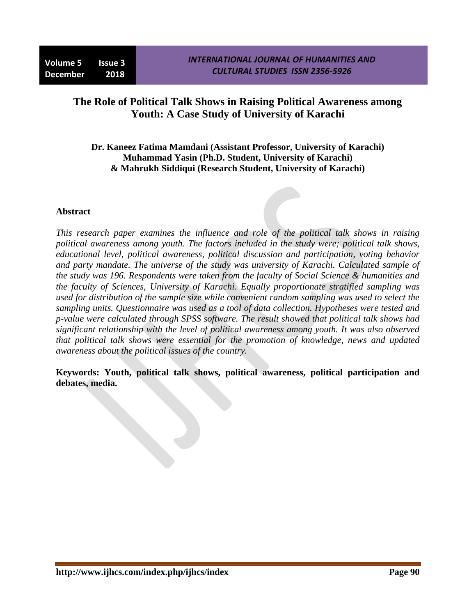## **The Role of Political Talk Shows in Raising Political Awareness among Youth: A Case Study of University of Karachi**

## **Dr. Kaneez Fatima Mamdani (Assistant Professor, University of Karachi) Muhammad Yasin (Ph.D. Student, University of Karachi) & Mahrukh Siddiqui (Research Student, University of Karachi)**

#### **Abstract**

*This research paper examines the influence and role of the political talk shows in raising political awareness among youth. The factors included in the study were; political talk shows, educational level, political awareness, political discussion and participation, voting behavior and party mandate. The universe of the study was university of Karachi. Calculated sample of the study was 196. Respondents were taken from the faculty of Social Science & humanities and the faculty of Sciences, University of Karachi. Equally proportionate stratified sampling was used for distribution of the sample size while convenient random sampling was used to select the sampling units. Questionnaire was used as a tool of data collection. Hypotheses were tested and p-value were calculated through SPSS software. The result showed that political talk shows had significant relationship with the level of political awareness among youth. It was also observed that political talk shows were essential for the promotion of knowledge, news and updated awareness about the political issues of the country.* 

**Keywords: Youth, political talk shows, political awareness, political participation and debates, media.**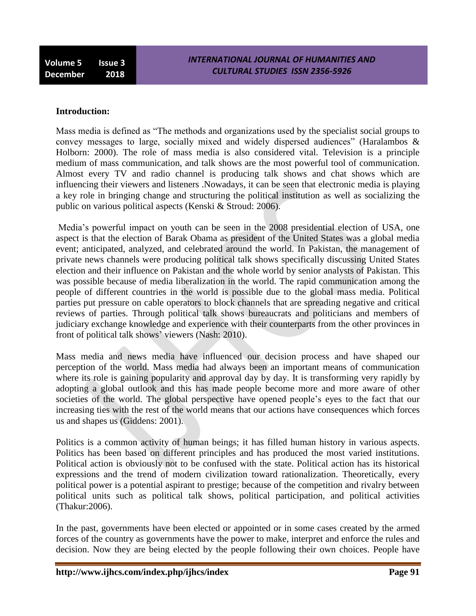**Volume 5 Issue 3 December 2018**

#### **Introduction:**

Mass media is defined as "The methods and organizations used by the specialist social groups to convey messages to large, socially mixed and widely dispersed audiences" (Haralambos & Holborn: 2000). The role of mass media is also considered vital. Television is a principle medium of mass communication, and talk shows are the most powerful tool of communication. Almost every TV and radio channel is producing talk shows and chat shows which are influencing their viewers and listeners .Nowadays, it can be seen that electronic media is playing a key role in bringing change and structuring the political institution as well as socializing the public on various political aspects (Kenski & Stroud: 2006).

Media"s powerful impact on youth can be seen in the 2008 presidential election of USA, one aspect is that the election of Barak Obama as president of the United States was a global media event; anticipated, analyzed, and celebrated around the world. In Pakistan, the management of private news channels were producing political talk shows specifically discussing United States election and their influence on Pakistan and the whole world by senior analysts of Pakistan. This was possible because of media liberalization in the world. The rapid communication among the people of different countries in the world is possible due to the global mass media. Political parties put pressure on cable operators to block channels that are spreading negative and critical reviews of parties. Through political talk shows bureaucrats and politicians and members of judiciary exchange knowledge and experience with their counterparts from the other provinces in front of political talk shows' viewers (Nash: 2010).

Mass media and news media have influenced our decision process and have shaped our perception of the world. Mass media had always been an important means of communication where its role is gaining popularity and approval day by day. It is transforming very rapidly by adopting a global outlook and this has made people become more and more aware of other societies of the world. The global perspective have opened people"s eyes to the fact that our increasing ties with the rest of the world means that our actions have consequences which forces us and shapes us (Giddens: 2001).

Politics is a common activity of human beings; it has filled human history in various aspects. Politics has been based on different principles and has produced the most varied institutions. Political action is obviously not to be confused with the state. Political action has its historical expressions and the trend of modern civilization toward rationalization. Theoretically, every political power is a potential aspirant to prestige; because of the competition and rivalry between political units such as political talk shows, political participation, and political activities (Thakur:2006).

In the past, governments have been elected or appointed or in some cases created by the armed forces of the country as governments have the power to make, interpret and enforce the rules and decision. Now they are being elected by the people following their own choices. People have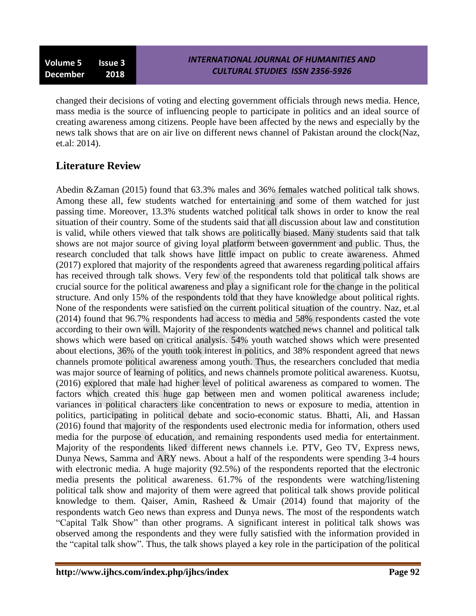changed their decisions of voting and electing government officials through news media. Hence, mass media is the source of influencing people to participate in politics and an ideal source of creating awareness among citizens. People have been affected by the news and especially by the news talk shows that are on air live on different news channel of Pakistan around the clock(Naz, et.al: 2014).

# **Literature Review**

Abedin &Zaman (2015) found that 63.3% males and 36% females watched political talk shows. Among these all, few students watched for entertaining and some of them watched for just passing time. Moreover, 13.3% students watched political talk shows in order to know the real situation of their country. Some of the students said that all discussion about law and constitution is valid, while others viewed that talk shows are politically biased. Many students said that talk shows are not major source of giving loyal platform between government and public. Thus, the research concluded that talk shows have little impact on public to create awareness. Ahmed (2017) explored that majority of the respondents agreed that awareness regarding political affairs has received through talk shows. Very few of the respondents told that political talk shows are crucial source for the political awareness and play a significant role for the change in the political structure. And only 15% of the respondents told that they have knowledge about political rights. None of the respondents were satisfied on the current political situation of the country. Naz, et.al (2014) found that 96.7% respondents had access to media and 58% respondents casted the vote according to their own will. Majority of the respondents watched news channel and political talk shows which were based on critical analysis. 54% youth watched shows which were presented about elections, 36% of the youth took interest in politics, and 38% respondent agreed that news channels promote political awareness among youth. Thus, the researchers concluded that media was major source of learning of politics, and news channels promote political awareness. Kuotsu, (2016) explored that male had higher level of political awareness as compared to women. The factors which created this huge gap between men and women political awareness include; variances in political characters like concentration to news or exposure to media, attention in politics, participating in political debate and socio-economic status. Bhatti, Ali, and Hassan (2016) found that majority of the respondents used electronic media for information, others used media for the purpose of education, and remaining respondents used media for entertainment. Majority of the respondents liked different news channels i.e. PTV, Geo TV, Express news, Dunya News, Samma and ARY news. About a half of the respondents were spending 3-4 hours with electronic media. A huge majority (92.5%) of the respondents reported that the electronic media presents the political awareness. 61.7% of the respondents were watching/listening political talk show and majority of them were agreed that political talk shows provide political knowledge to them. Qaiser, Amin, Rasheed & Umair (2014) found that majority of the respondents watch Geo news than express and Dunya news. The most of the respondents watch "Capital Talk Show" than other programs. A significant interest in political talk shows was observed among the respondents and they were fully satisfied with the information provided in the "capital talk show". Thus, the talk shows played a key role in the participation of the political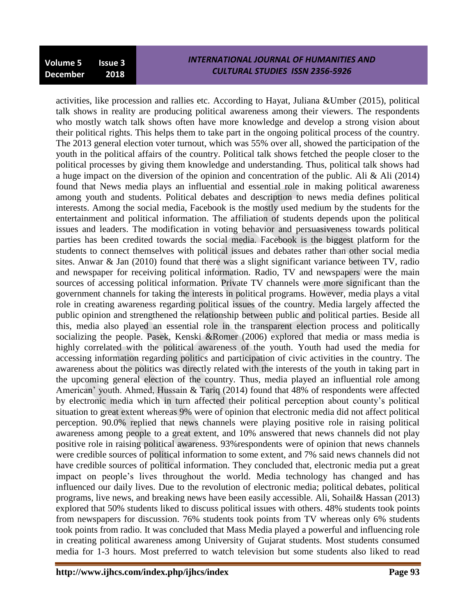activities, like procession and rallies etc. According to Hayat, Juliana &Umber (2015), political talk shows in reality are producing political awareness among their viewers. The respondents who mostly watch talk shows often have more knowledge and develop a strong vision about their political rights. This helps them to take part in the ongoing political process of the country. The 2013 general election voter turnout, which was 55% over all, showed the participation of the youth in the political affairs of the country. Political talk shows fetched the people closer to the political processes by giving them knowledge and understanding. Thus, political talk shows had a huge impact on the diversion of the opinion and concentration of the public. Ali & Ali (2014) found that News media plays an influential and essential role in making political awareness among youth and students. Political debates and description to news media defines political interests. Among the social media, Facebook is the mostly used medium by the students for the entertainment and political information. The affiliation of students depends upon the political issues and leaders. The modification in voting behavior and persuasiveness towards political parties has been credited towards the social media. Facebook is the biggest platform for the students to connect themselves with political issues and debates rather than other social media sites. Anwar & Jan  $(2010)$  found that there was a slight significant variance between TV, radio and newspaper for receiving political information. Radio, TV and newspapers were the main sources of accessing political information. Private TV channels were more significant than the government channels for taking the interests in political programs. However, media plays a vital role in creating awareness regarding political issues of the country. Media largely affected the public opinion and strengthened the relationship between public and political parties. Beside all this, media also played an essential role in the transparent election process and politically socializing the people. Pasek, Kenski &Romer (2006) explored that media or mass media is highly correlated with the political awareness of the youth. Youth had used the media for accessing information regarding politics and participation of civic activities in the country. The awareness about the politics was directly related with the interests of the youth in taking part in the upcoming general election of the country. Thus, media played an influential role among American' youth. Ahmed, Hussain & Tariq (2014) found that 48% of respondents were affected by electronic media which in turn affected their political perception about county"s political situation to great extent whereas 9% were of opinion that electronic media did not affect political perception. 90.0% replied that news channels were playing positive role in raising political awareness among people to a great extent, and 10% answered that news channels did not play positive role in raising political awareness. 93%respondents were of opinion that news channels were credible sources of political information to some extent, and 7% said news channels did not have credible sources of political information. They concluded that, electronic media put a great impact on people"s lives throughout the world. Media technology has changed and has influenced our daily lives. Due to the revolution of electronic media; political debates, political programs, live news, and breaking news have been easily accessible. Ali, Sohail& Hassan (2013) explored that 50% students liked to discuss political issues with others. 48% students took points from newspapers for discussion. 76% students took points from TV whereas only 6% students took points from radio. It was concluded that Mass Media played a powerful and influencing role in creating political awareness among University of Gujarat students. Most students consumed media for 1-3 hours. Most preferred to watch television but some students also liked to read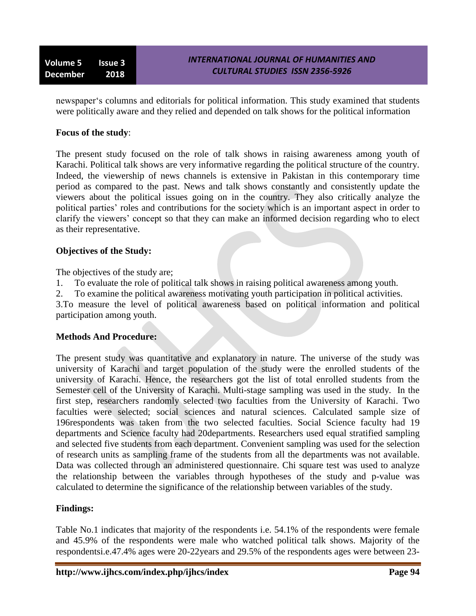newspaper"s columns and editorials for political information. This study examined that students were politically aware and they relied and depended on talk shows for the political information

#### **Focus of the study**:

The present study focused on the role of talk shows in raising awareness among youth of Karachi. Political talk shows are very informative regarding the political structure of the country. Indeed, the viewership of news channels is extensive in Pakistan in this contemporary time period as compared to the past. News and talk shows constantly and consistently update the viewers about the political issues going on in the country. They also critically analyze the political parties' roles and contributions for the society which is an important aspect in order to clarify the viewers" concept so that they can make an informed decision regarding who to elect as their representative.

#### **Objectives of the Study:**

The objectives of the study are;

- 1. To evaluate the role of political talk shows in raising political awareness among youth.
- 2. To examine the political awareness motivating youth participation in political activities.

3.To measure the level of political awareness based on political information and political participation among youth.

## **Methods And Procedure:**

The present study was quantitative and explanatory in nature. The universe of the study was university of Karachi and target population of the study were the enrolled students of the university of Karachi. Hence, the researchers got the list of total enrolled students from the Semester cell of the University of Karachi. Multi-stage sampling was used in the study. In the first step, researchers randomly selected two faculties from the University of Karachi. Two faculties were selected; social sciences and natural sciences. Calculated sample size of 196respondents was taken from the two selected faculties. Social Science faculty had 19 departments and Science faculty had 20departments. Researchers used equal stratified sampling and selected five students from each department. Convenient sampling was used for the selection of research units as sampling frame of the students from all the departments was not available. Data was collected through an administered questionnaire. Chi square test was used to analyze the relationship between the variables through hypotheses of the study and p-value was calculated to determine the significance of the relationship between variables of the study.

## **Findings:**

Table No.1 indicates that majority of the respondents i.e. 54.1% of the respondents were female and 45.9% of the respondents were male who watched political talk shows. Majority of the respondentsi.e.47.4% ages were 20-22years and 29.5% of the respondents ages were between 23-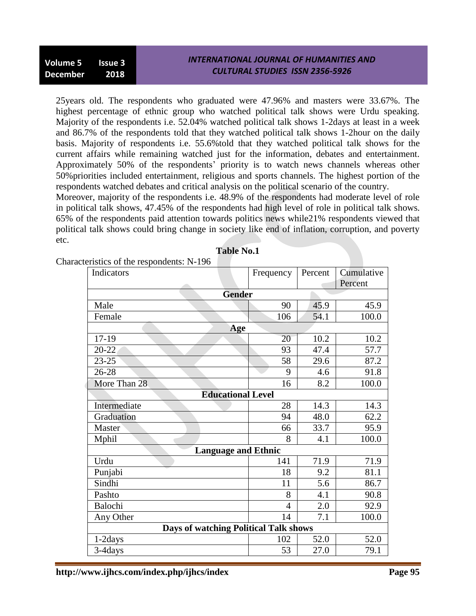25years old. The respondents who graduated were 47.96% and masters were 33.67%. The highest percentage of ethnic group who watched political talk shows were Urdu speaking. Majority of the respondents i.e. 52.04% watched political talk shows 1-2days at least in a week and 86.7% of the respondents told that they watched political talk shows 1-2hour on the daily basis. Majority of respondents i.e. 55.6%told that they watched political talk shows for the current affairs while remaining watched just for the information, debates and entertainment. Approximately 50% of the respondents' priority is to watch news channels whereas other 50%priorities included entertainment, religious and sports channels. The highest portion of the respondents watched debates and critical analysis on the political scenario of the country.

Moreover, majority of the respondents i.e. 48.9% of the respondents had moderate level of role in political talk shows, 47.45% of the respondents had high level of role in political talk shows. 65% of the respondents paid attention towards politics news while21% respondents viewed that political talk shows could bring change in society like end of inflation, corruption, and poverty etc.

**Table No.1**

| Indicators                                   | Frequency      | Percent | Cumulative<br>Percent |  |  |  |
|----------------------------------------------|----------------|---------|-----------------------|--|--|--|
| <b>Gender</b>                                |                |         |                       |  |  |  |
| Male                                         | 90             | 45.9    | 45.9                  |  |  |  |
| Female                                       | 106            | 54.1    | 100.0                 |  |  |  |
| <b>Age</b>                                   |                |         |                       |  |  |  |
| $17-19$                                      | 20             | 10.2    | 10.2                  |  |  |  |
| 20-22                                        | 93             | 47.4    | 57.7                  |  |  |  |
| $23 - 25$                                    | 58             | 29.6    | 87.2                  |  |  |  |
| 26-28                                        | 9              | 4.6     | 91.8                  |  |  |  |
| More Than 28                                 | 16             | 8.2     | 100.0                 |  |  |  |
| <b>Educational Level</b>                     |                |         |                       |  |  |  |
| Intermediate                                 | 28             | 14.3    | 14.3                  |  |  |  |
| Graduation                                   | 94             | 48.0    | 62.2                  |  |  |  |
| Master                                       | 66             | 33.7    | 95.9                  |  |  |  |
| Mphil                                        | 8              | 4.1     | 100.0                 |  |  |  |
| <b>Language and Ethnic</b>                   |                |         |                       |  |  |  |
| Urdu                                         | 141            | 71.9    | 71.9                  |  |  |  |
| Punjabi                                      | 18             | 9.2     | 81.1                  |  |  |  |
| Sindhi                                       | 11             | 5.6     | 86.7                  |  |  |  |
| Pashto                                       | 8              | 4.1     | 90.8                  |  |  |  |
| Balochi                                      | $\overline{4}$ | 2.0     | 92.9                  |  |  |  |
| Any Other                                    | 14             | 7.1     | 100.0                 |  |  |  |
| <b>Days of watching Political Talk shows</b> |                |         |                       |  |  |  |
| 1-2days                                      | 102            | 52.0    | 52.0                  |  |  |  |
| 3-4days                                      | 53             | 27.0    | 79.1                  |  |  |  |

Characteristics of the respondents: N-196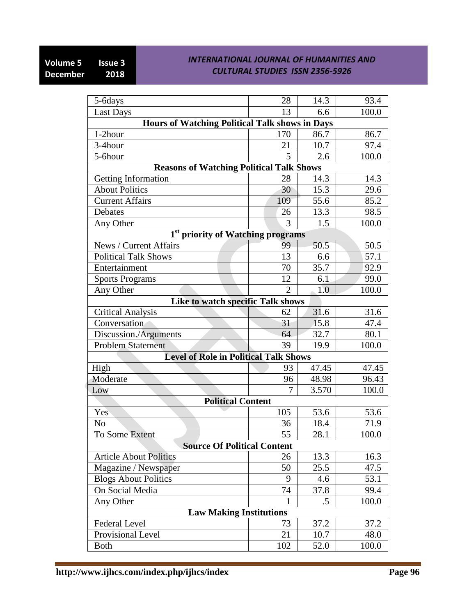| 5-6days                                               | 28             | 14.3  | 93.4  |
|-------------------------------------------------------|----------------|-------|-------|
| <b>Last Days</b>                                      | 13             | 6.6   | 100.0 |
| <b>Hours of Watching Political Talk shows in Days</b> |                |       |       |
| 1-2hour                                               | 170            | 86.7  | 86.7  |
| 3-4hour                                               | 21             | 10.7  | 97.4  |
| 5-6hour                                               | 5              | 2.6   | 100.0 |
| <b>Reasons of Watching Political Talk Shows</b>       |                |       |       |
| Getting Information                                   | 28             | 14.3  | 14.3  |
| <b>About Politics</b>                                 | 30             | 15.3  | 29.6  |
| <b>Current Affairs</b>                                | 109            | 55.6  | 85.2  |
| Debates                                               | 26             | 13.3  | 98.5  |
| Any Other                                             | 3              | 1.5   | 100.0 |
| priority of Watching programs                         |                |       |       |
| News / Current Affairs                                | 99             | 50.5  | 50.5  |
| <b>Political Talk Shows</b>                           | 13             | 6.6   | 57.1  |
| Entertainment                                         | 70             | 35.7  | 92.9  |
| <b>Sports Programs</b>                                | 12             | 6.1   | 99.0  |
| Any Other                                             | $\overline{2}$ | 1.0   | 100.0 |
| Like to watch specific Talk shows                     |                |       |       |
| <b>Critical Analysis</b>                              | 62             | 31.6  | 31.6  |
| Conversation                                          | 31             | 15.8  | 47.4  |
| Discussion./Arguments                                 | 64             | 32.7  | 80.1  |
| <b>Problem Statement</b>                              | 39             | 19.9  | 100.0 |
| <b>Level of Role in Political Talk Shows</b>          |                |       |       |
| High                                                  | 93             | 47.45 | 47.45 |
| Moderate                                              | 96             | 48.98 | 96.43 |
| Low                                                   | 7              | 3.570 | 100.0 |
| <b>Political Content</b>                              |                |       |       |
| Yes                                                   | 105            | 53.6  | 53.6  |
| N <sub>0</sub>                                        | 36             | 18.4  | 71.9  |
| To Some Extent                                        | 55             | 28.1  | 100.0 |
| <b>Source Of Political Content</b>                    |                |       |       |
| <b>Article About Politics</b>                         | 26             | 13.3  | 16.3  |
| Magazine / Newspaper                                  | 50             | 25.5  | 47.5  |
| <b>Blogs About Politics</b>                           | 9              | 4.6   | 53.1  |
| On Social Media                                       | 74             | 37.8  | 99.4  |
| Any Other                                             | 1              | .5    | 100.0 |
| <b>Law Making Institutions</b>                        |                |       |       |
| Federal Level                                         | 73             | 37.2  | 37.2  |
| Provisional Level                                     | 21             | 10.7  | 48.0  |
| <b>Both</b>                                           | 102            | 52.0  | 100.0 |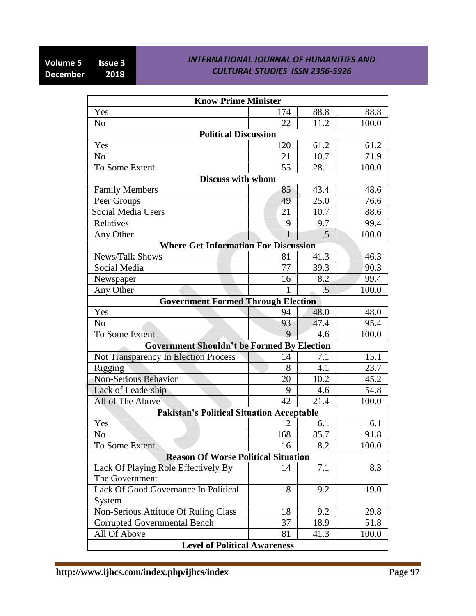| <b>Know Prime Minister</b>                        |     |                 |       |
|---------------------------------------------------|-----|-----------------|-------|
| Yes                                               | 174 | 88.8            | 88.8  |
| N <sub>0</sub>                                    | 22  | 11.2            | 100.0 |
| <b>Political Discussion</b>                       |     |                 |       |
| Yes                                               | 120 | 61.2            | 61.2  |
| N <sub>o</sub>                                    | 21  | 10.7            | 71.9  |
| To Some Extent                                    | 55  | 28.1            | 100.0 |
| <b>Discuss with whom</b>                          |     |                 |       |
| <b>Family Members</b>                             | 85  | 43.4            | 48.6  |
| Peer Groups                                       | 49  | 25.0            | 76.6  |
| Social Media Users                                | 21  | 10.7            | 88.6  |
| Relatives                                         | 19  | 9.7             | 99.4  |
| Any Other                                         | 1   | .5              | 100.0 |
| <b>Where Get Information For Discussion</b>       |     |                 |       |
| News/Talk Shows                                   | 81  | 41.3            | 46.3  |
| Social Media                                      | 77  | 39.3            | 90.3  |
| Newspaper                                         | 16  | 8.2             | 99.4  |
| Any Other                                         | 1   | $\overline{.5}$ | 100.0 |
| <b>Government Formed Through Election</b>         |     |                 |       |
| Yes                                               | 94  | 48.0            | 48.0  |
| N <sub>o</sub>                                    | 93  | 47.4            | 95.4  |
| To Some Extent                                    | 9   | 4.6             | 100.0 |
| <b>Government Shouldn't be Formed By Election</b> |     |                 |       |
| <b>Not Transparency In Election Process</b>       | 14  | 7.1             | 15.1  |
| Rigging                                           | 8   | 4.1             | 23.7  |
| <b>Non-Serious Behavior</b>                       | 20  | 10.2            | 45.2  |
| Lack of Leadership                                | 9   | 4.6             | 54.8  |
| All of The Above                                  | 42  | 21.4            | 100.0 |
| <b>Pakistan's Political Situation Acceptable</b>  |     |                 |       |
| Yes                                               | 12  | 6.1             | 6.1   |
| No                                                | 168 | 85.7            | 91.8  |
| To Some Extent                                    | 16  | 8.2             | 100.0 |
| <b>Reason Of Worse Political Situation</b>        |     |                 |       |
| Lack Of Playing Role Effectively By               | 14  | 7.1             | 8.3   |
| The Government                                    |     |                 |       |
| Lack Of Good Governance In Political              | 18  | 9.2             | 19.0  |
| System                                            |     |                 |       |
| Non-Serious Attitude Of Ruling Class              | 18  | 9.2             | 29.8  |
| <b>Corrupted Governmental Bench</b>               | 37  | 18.9            | 51.8  |
| All Of Above                                      | 81  | 41.3            | 100.0 |
| <b>Level of Political Awareness</b>               |     |                 |       |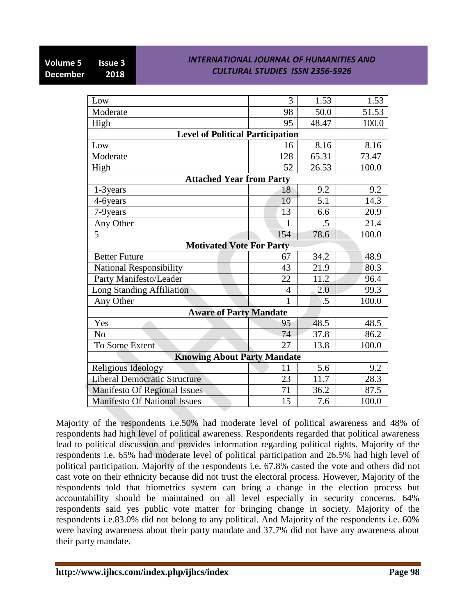| 3   | 1.53                                                                                                | 1.53                                                                          |
|-----|-----------------------------------------------------------------------------------------------------|-------------------------------------------------------------------------------|
| 98  | 50.0                                                                                                | 51.53                                                                         |
| 95  | 48.47                                                                                               | 100.0                                                                         |
|     |                                                                                                     |                                                                               |
| 16  | 8.16                                                                                                | 8.16                                                                          |
| 128 | 65.31                                                                                               | 73.47                                                                         |
| 52  | 26.53                                                                                               | 100.0                                                                         |
|     |                                                                                                     |                                                                               |
| 18  | 9.2                                                                                                 | 9.2                                                                           |
| 10  | 5.1                                                                                                 | 14.3                                                                          |
| 13  | 6.6                                                                                                 | 20.9                                                                          |
| 1   | .5                                                                                                  | 21.4                                                                          |
| 154 | 78.6                                                                                                | 100.0                                                                         |
|     |                                                                                                     |                                                                               |
| 67  | 34.2                                                                                                | 48.9                                                                          |
| 43  | 21.9                                                                                                | 80.3                                                                          |
| 22  | 11.2                                                                                                | 96.4                                                                          |
| 4   | 2.0                                                                                                 | 99.3                                                                          |
| 1   | .5                                                                                                  | 100.0                                                                         |
|     |                                                                                                     |                                                                               |
| 95  | 48.5                                                                                                | 48.5                                                                          |
| 74  | 37.8                                                                                                | 86.2                                                                          |
| 27  | 13.8                                                                                                | 100.0                                                                         |
|     |                                                                                                     |                                                                               |
| 11  | 5.6                                                                                                 | 9.2                                                                           |
| 23  | 11.7                                                                                                | 28.3                                                                          |
| 71  | 36.2                                                                                                | 87.5                                                                          |
| 15  | 7.6                                                                                                 | 100.0                                                                         |
|     | <b>Attached Year from Party</b><br><b>Motivated Vote For Party</b><br><b>Aware of Party Mandate</b> | <b>Level of Political Participation</b><br><b>Knowing About Party Mandate</b> |

Majority of the respondents i.e.50% had moderate level of political awareness and 48% of respondents had high level of political awareness. Respondents regarded that political awareness lead to political discussion and provides information regarding political rights. Majority of the respondents i.e. 65% had moderate level of political participation and 26.5% had high level of political participation. Majority of the respondents i.e. 67.8% casted the vote and others did not cast vote on their ethnicity because did not trust the electoral process. However, Majority of the respondents told that biometrics system can bring a change in the election process but accountability should be maintained on all level especially in security concerns. 64% respondents said yes public vote matter for bringing change in society. Majority of the respondents i.e.83.0% did not belong to any political. And Majority of the respondents i.e. 60% were having awareness about their party mandate and 37.7% did not have any awareness about their party mandate.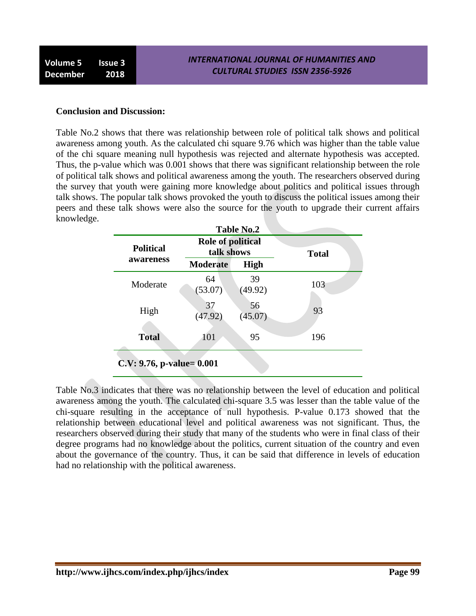#### **Conclusion and Discussion:**

Table No.2 shows that there was relationship between role of political talk shows and political awareness among youth. As the calculated chi square 9.76 which was higher than the table value of the chi square meaning null hypothesis was rejected and alternate hypothesis was accepted. Thus, the p-value which was 0.001 shows that there was significant relationship between the role of political talk shows and political awareness among the youth. The researchers observed during the survey that youth were gaining more knowledge about politics and political issues through talk shows. The popular talk shows provoked the youth to discuss the political issues among their peers and these talk shows were also the source for the youth to upgrade their current affairs knowledge.

| <b>Political</b> | <b>Role of political</b><br>talk shows |               | <b>Total</b> |
|------------------|----------------------------------------|---------------|--------------|
| awareness        | <b>Moderate</b>                        | <b>High</b>   |              |
| Moderate         | 64<br>(53.07)                          | 39<br>(49.92) | 103          |
| High             | 37<br>(47.92)                          | 56<br>(45.07) | 93           |
| <b>Total</b>     | 101                                    | 95            | 196          |

Table No.3 indicates that there was no relationship between the level of education and political awareness among the youth. The calculated chi-square 3.5 was lesser than the table value of the chi-square resulting in the acceptance of null hypothesis. P-value 0.173 showed that the relationship between educational level and political awareness was not significant. Thus, the researchers observed during their study that many of the students who were in final class of their degree programs had no knowledge about the politics, current situation of the country and even about the governance of the country. Thus, it can be said that difference in levels of education had no relationship with the political awareness.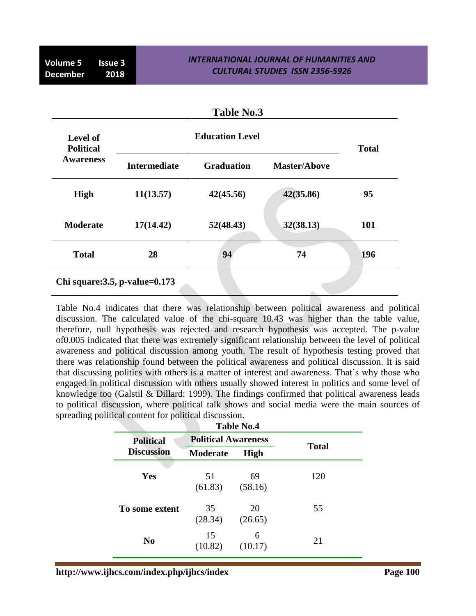| <b>Table No.3</b>            |                                      |                        |                     |              |
|------------------------------|--------------------------------------|------------------------|---------------------|--------------|
| Level of<br><b>Political</b> |                                      | <b>Education Level</b> |                     | <b>Total</b> |
| <b>Awareness</b>             | <b>Intermediate</b>                  | <b>Graduation</b>      | <b>Master/Above</b> |              |
| <b>High</b>                  | 11(13.57)                            | 42(45.56)              | 42(35.86)           | 95           |
| <b>Moderate</b>              | 17(14.42)                            | 52(48.43)              | 32(38.13)           | 101          |
| <b>Total</b>                 | 28                                   | 94                     | 74                  | 196          |
|                              | Chi square: $3.5$ , p-value= $0.173$ |                        |                     |              |

Table No.4 indicates that there was relationship between political awareness and political discussion. The calculated value of the chi-square 10.43 was higher than the table value, therefore, null hypothesis was rejected and research hypothesis was accepted. The p-value of0.005 indicated that there was extremely significant relationship between the level of political awareness and political discussion among youth. The result of hypothesis testing proved that there was relationship found between the political awareness and political discussion. It is said that discussing politics with others is a matter of interest and awareness. That"s why those who engaged in political discussion with others usually showed interest in politics and some level of knowledge too (Galstil & Dillard: 1999). The findings confirmed that political awareness leads to political discussion, where political talk shows and social media were the main sources of spreading political content for political discussion.

| <b>Table No.4</b> |                            |               |              |  |
|-------------------|----------------------------|---------------|--------------|--|
| <b>Political</b>  | <b>Political Awareness</b> |               |              |  |
| <b>Discussion</b> | <b>Moderate</b>            | <b>High</b>   | <b>Total</b> |  |
| Yes               | 51<br>(61.83)              | 69<br>(58.16) | 120          |  |
| To some extent    | 35<br>(28.34)              | 20<br>(26.65) | 55           |  |
| N <sub>0</sub>    | 15<br>(10.82)              | 6<br>(10.17)  | 21           |  |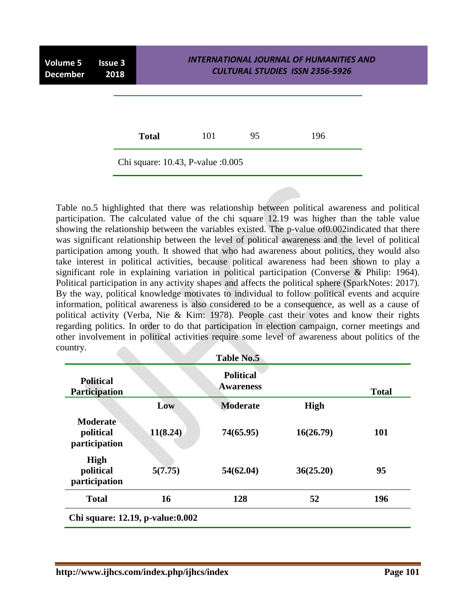

Table no.5 highlighted that there was relationship between political awareness and political participation. The calculated value of the chi square 12.19 was higher than the table value showing the relationship between the variables existed. The p-value of0.002indicated that there was significant relationship between the level of political awareness and the level of political participation among youth. It showed that who had awareness about politics, they would also take interest in political activities, because political awareness had been shown to play a significant role in explaining variation in political participation (Converse & Philip: 1964). Political participation in any activity shapes and affects the political sphere (SparkNotes: 2017). By the way, political knowledge motivates to individual to follow political events and acquire information, political awareness is also considered to be a consequence, as well as a cause of political activity (Verba, Nie & Kim: 1978). People cast their votes and know their rights regarding politics. In order to do that participation in election campaign, corner meetings and other involvement in political activities require some level of awareness about politics of the country.

|                                               |          | <b>Table No.5</b>                    |             |              |
|-----------------------------------------------|----------|--------------------------------------|-------------|--------------|
| <b>Political</b><br>Participation             |          | <b>Political</b><br><b>Awareness</b> |             | <b>Total</b> |
|                                               | Low      | <b>Moderate</b>                      | <b>High</b> |              |
| <b>Moderate</b><br>political<br>participation | 11(8.24) | 74(65.95)                            | 16(26.79)   | 101          |
| <b>High</b><br>political<br>participation     | 5(7.75)  | 54(62.04)                            | 36(25.20)   | 95           |
| <b>Total</b>                                  | 16       | 128                                  | 52          | 196          |
| Chi square: 12.19, p-value:0.002              |          |                                      |             |              |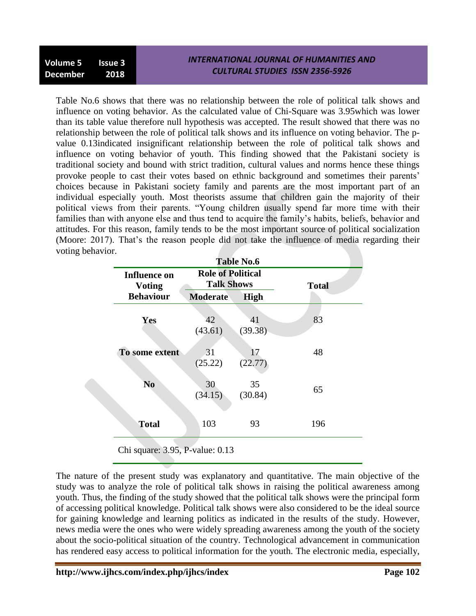| <b>CULTURAL STUDIES ISSN 2356-5926</b><br>December 2018 | Volume 5 Issue 3 |  | INTERNATIONAL JOURNAL OF HUMANITIES AND |
|---------------------------------------------------------|------------------|--|-----------------------------------------|
|---------------------------------------------------------|------------------|--|-----------------------------------------|

Table No.6 shows that there was no relationship between the role of political talk shows and influence on voting behavior. As the calculated value of Chi-Square was 3.95which was lower than its table value therefore null hypothesis was accepted. The result showed that there was no relationship between the role of political talk shows and its influence on voting behavior. The pvalue 0.13indicated insignificant relationship between the role of political talk shows and influence on voting behavior of youth. This finding showed that the Pakistani society is traditional society and bound with strict tradition, cultural values and norms hence these things provoke people to cast their votes based on ethnic background and sometimes their parents" choices because in Pakistani society family and parents are the most important part of an individual especially youth. Most theorists assume that children gain the majority of their political views from their parents. "Young children usually spend far more time with their families than with anyone else and thus tend to acquire the family"s habits, beliefs, behavior and attitudes. For this reason, family tends to be the most important source of political socialization (Moore: 2017). That"s the reason people did not take the influence of media regarding their voting behavior.

| <b>Influence on</b><br><b>Voting</b> | <b>Role of Political</b><br><b>Talk Shows</b> |               | <b>Total</b> |
|--------------------------------------|-----------------------------------------------|---------------|--------------|
| <b>Behaviour</b>                     | <b>Moderate</b>                               | <b>High</b>   |              |
| Yes                                  | 42<br>(43.61)                                 | 41<br>(39.38) | 83           |
| To some extent                       | 31<br>(25.22)                                 | 17<br>(22.77) | 48           |
| N <sub>0</sub>                       | 30<br>(34.15)                                 | 35<br>(30.84) | 65           |
| <b>Total</b>                         | 103                                           | 93            | 196          |

The nature of the present study was explanatory and quantitative. The main objective of the study was to analyze the role of political talk shows in raising the political awareness among youth. Thus, the finding of the study showed that the political talk shows were the principal form of accessing political knowledge. Political talk shows were also considered to be the ideal source for gaining knowledge and learning politics as indicated in the results of the study. However, news media were the ones who were widely spreading awareness among the youth of the society about the socio-political situation of the country. Technological advancement in communication has rendered easy access to political information for the youth. The electronic media, especially,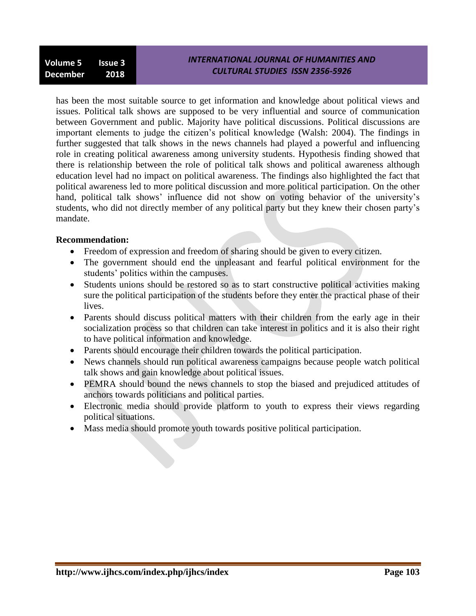has been the most suitable source to get information and knowledge about political views and issues. Political talk shows are supposed to be very influential and source of communication between Government and public. Majority have political discussions. Political discussions are important elements to judge the citizen"s political knowledge (Walsh: 2004). The findings in further suggested that talk shows in the news channels had played a powerful and influencing role in creating political awareness among university students. Hypothesis finding showed that there is relationship between the role of political talk shows and political awareness although education level had no impact on political awareness. The findings also highlighted the fact that political awareness led to more political discussion and more political participation. On the other hand, political talk shows' influence did not show on voting behavior of the university's students, who did not directly member of any political party but they knew their chosen party"s mandate.

#### **Recommendation:**

- Freedom of expression and freedom of sharing should be given to every citizen.
- The government should end the unpleasant and fearful political environment for the students' politics within the campuses.
- Students unions should be restored so as to start constructive political activities making sure the political participation of the students before they enter the practical phase of their lives.
- Parents should discuss political matters with their children from the early age in their socialization process so that children can take interest in politics and it is also their right to have political information and knowledge.
- Parents should encourage their children towards the political participation.
- News channels should run political awareness campaigns because people watch political talk shows and gain knowledge about political issues.
- PEMRA should bound the news channels to stop the biased and prejudiced attitudes of anchors towards politicians and political parties.
- Electronic media should provide platform to youth to express their views regarding political situations.
- Mass media should promote youth towards positive political participation.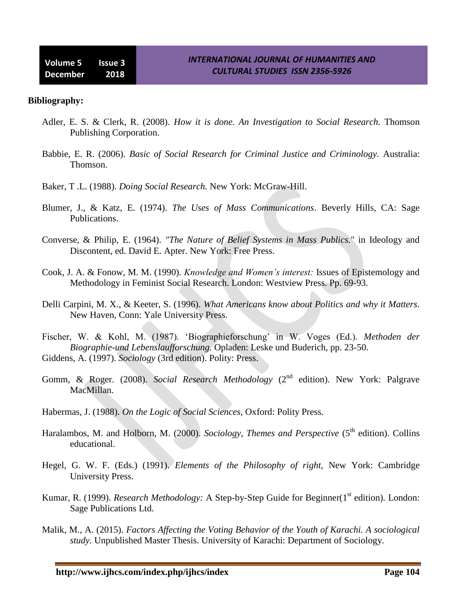#### **Bibliography:**

- Adler, E. S. & Clerk, R. (2008). *How it is done. An Investigation to Social Research.* Thomson Publishing Corporation.
- Babbie, E. R. (2006). *Basic of Social Research for Criminal Justice and Criminology.* Australia: Thomson.
- Baker, T .L. (1988). *Doing Social Research.* New York: McGraw-Hill.
- Blumer, J., & Katz, E. (1974). *The Uses of Mass Communications*. Beverly Hills, CA: Sage Publications.
- Converse, & Philip, E. (1964). *"The Nature of Belief Systems in Mass Publics.*" in Ideology and Discontent, ed. David E. Apter. New York: Free Press.
- Cook, J. A. & Fonow, M. M. (1990). *Knowledge and Women's interest:* Issues of Epistemology and Methodology in Feminist Social Research. London: Westview Press. Pp. 69-93.
- Delli Carpini, M. X., & Keeter, S. (1996). *What Americans know about Politics and why it Matters*. New Haven, Conn: Yale University Press.
- Fischer, W. & Kohl, M. (1987). "Biographieforschung" in W. Voges (Ed.). *Methoden der Biographie-und Lebenslaufforschung.* Opladen: Leske und Buderich, pp. 23-50. Giddens, A. (1997). *Sociology* (3rd edition). Polity: Press.
- Gomm, & Roger. (2008). *Social Research Methodology* (2<sup>nd</sup> edition). New York: Palgrave MacMillan.
- Habermas, J. (1988). *On the Logic of Social Sciences,* Oxford: Polity Press.
- Haralambos, M. and Holborn, M. (2000). *Sociology, Themes and Perspective* (5<sup>th</sup> edition). Collins educational.
- Hegel, G. W. F. (Eds.) (1991). *Elements of the Philosophy of right,* New York: Cambridge University Press.
- Kumar, R. (1999). *Research Methodology:* A Step-by-Step Guide for Beginner(1<sup>st</sup> edition). London: Sage Publications Ltd.
- Malik, M., A. (2015). *Factors Affecting the Voting Behavior of the Youth of Karachi. A sociological study.* Unpublished Master Thesis. University of Karachi: Department of Sociology.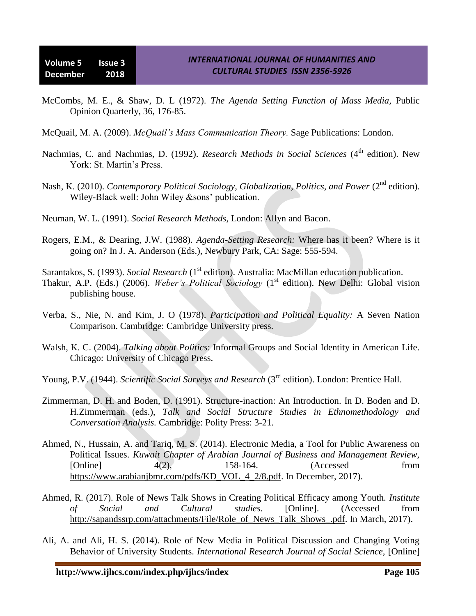- McCombs, M. E., & Shaw, D. L (1972). *The Agenda Setting Function of Mass Media,* Public Opinion Quarterly, 36, 176-85.
- McQuail, M. A. (2009). *McQuail's Mass Communication Theory.* Sage Publications: London.
- Nachmias, C. and Nachmias, D. (1992). *Research Methods in Social Sciences* (4<sup>th</sup> edition). New York: St. Martin's Press.
- Nash, K. (2010). *Contemporary Political Sociology, Globalization, Politics, and Power* (2<sup>nd</sup> edition). Wiley-Black well: John Wiley &sons' publication.
- Neuman, W. L. (1991). *Social Research Methods,* London: Allyn and Bacon.
- Rogers, E.M., & Dearing, J.W. (1988). *Agenda-Setting Research:* Where has it been? Where is it going on? In J. A. Anderson (Eds.), Newbury Park, CA: Sage: 555-594.
- Sarantakos, S. (1993). *Social Research* (1<sup>st</sup> edition). Australia: MacMillan education publication.
- Thakur, A.P. (Eds.) (2006). *Weber's Political Sociology* (1<sup>st</sup> edition). New Delhi: Global vision publishing house.
- Verba, S., Nie, N. and Kim, J. O (1978). *Participation and Political Equality:* A Seven Nation Comparison. Cambridge: Cambridge University press.
- Walsh, K. C. (2004). *Talking about Politics*: Informal Groups and Social Identity in American Life. Chicago: University of Chicago Press.
- Young, P.V. (1944). *Scientific Social Surveys and Research* (3<sup>rd</sup> edition). London: Prentice Hall.
- Zimmerman, D. H. and Boden, D. (1991). Structure-inaction: An Introduction. In D. Boden and D. H.Zimmerman (eds.), *Talk and Social Structure Studies in Ethnomethodology and Conversation Analysis.* Cambridge: Polity Press: 3-21.
- Ahmed, N., Hussain, A. and Tariq, M. S. (2014). Electronic Media, a Tool for Public Awareness on Political Issues. *Kuwait Chapter of Arabian Journal of Business and Management Review,* [Online] 4(2), 158-164. (Accessed from [https://www.arabianjbmr.com/pdfs/KD\\_VOL\\_4\\_2/8.pdf.](https://www.arabianjbmr.com/pdfs/KD_VOL_4_2/8.pdf) In December, 2017).
- Ahmed, R. (2017). Role of News Talk Shows in Creating Political Efficacy among Youth. *Institute of Social and Cultural studies.* [Online]. (Accessed from [http://sapandssrp.com/attachments/File/Role\\_of\\_News\\_Talk\\_Shows\\_.pdf.](http://sapandssrp.com/attachments/File/Role_of_News_Talk_Shows_.pdf) In March, 2017).
- Ali, A. and Ali, H. S. (2014). Role of New Media in Political Discussion and Changing Voting Behavior of University Students. *International Research Journal of Social Science,* [Online]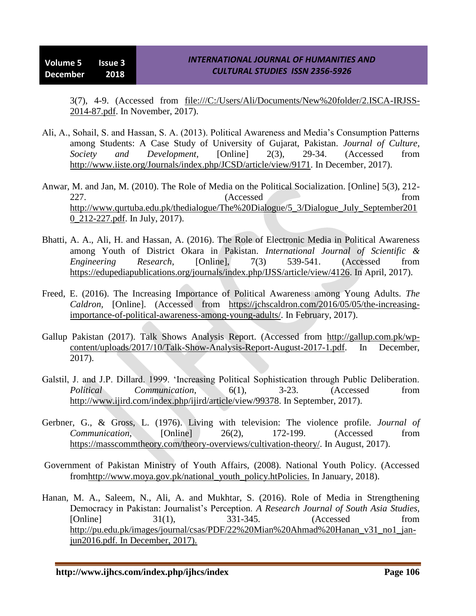3(7), 4-9. (Accessed from [file:///C:/Users/Ali/Documents/New%20folder/2.ISCA-IRJSS-](file:///C:\Users\Ali\Documents\New%20folder\2.ISCA-IRJSS-2014-87.pdf)[2014-87.pdf.](file:///C:\Users\Ali\Documents\New%20folder\2.ISCA-IRJSS-2014-87.pdf) In November, 2017).

- Ali, A., Sohail, S. and Hassan, S. A. (2013). Political Awareness and Media"s Consumption Patterns among Students: A Case Study of University of Gujarat, Pakistan. *Journal of Culture, Society and Development,* [Online] 2(3), 29-34. (Accessed from [http://www.iiste.org/Journals/index.php/JCSD/article/view/9171.](http://www.iiste.org/Journals/index.php/JCSD/article/view/9171) In December, 2017).
- Anwar, M. and Jan, M. (2010). The Role of Media on the Political Socialization. [Online] 5(3), 212- 227. (Accessed from [http://www.qurtuba.edu.pk/thedialogue/The%20Dialogue/5\\_3/Dialogue\\_July\\_September201](http://www.qurtuba.edu.pk/thedialogue/The%20Dialogue/5_3/Dialogue_July_September2010_212-227.pdf) [0\\_212-227.pdf.](http://www.qurtuba.edu.pk/thedialogue/The%20Dialogue/5_3/Dialogue_July_September2010_212-227.pdf) In July, 2017).
- Bhatti, A. A., Ali, H. and Hassan, A. (2016). The Role of Electronic Media in Political Awareness among Youth of District Okara in Pakistan. *International Journal of Scientific & Engineering Research*, [Online], 7(3) 539-541. (Accessed from [https://edupediapublications.org/journals/index.php/IJSS/article/view/4126.](https://edupediapublications.org/journals/index.php/IJSS/article/view/4126) In April, 2017).
- Freed, E. (2016). The Increasing Importance of Political Awareness among Young Adults. *The Caldron,* [Online]. (Accessed from [https://jchscaldron.com/2016/05/05/the-increasing](https://jchscaldron.com/2016/05/05/the-increasing-importance-of-political-awareness-among-young-adults/)[importance-of-political-awareness-among-young-adults/.](https://jchscaldron.com/2016/05/05/the-increasing-importance-of-political-awareness-among-young-adults/) In February, 2017).
- Gallup Pakistan (2017). Talk Shows Analysis Report. (Accessed from [http://gallup.com.pk/wp](http://gallup.com.pk/wp-content/uploads/2017/10/Talk-Show-Analysis-Report-August-2017-1.pdf)[content/uploads/2017/10/Talk-Show-Analysis-Report-August-2017-1.pdf.](http://gallup.com.pk/wp-content/uploads/2017/10/Talk-Show-Analysis-Report-August-2017-1.pdf) In December, 2017).
- Galstil, J. and J.P. Dillard. 1999. "Increasing Political Sophistication through Public Deliberation. *Political Communication*, 6(1), 3-23. (Accessed from [http://www.ijird.com/index.php/ijird/article/view/99378.](http://www.ijird.com/index.php/ijird/article/view/99378) In September, 2017).
- Gerbner, G., & Gross, L. (1976). Living with television: The violence profile. *Journal of Communication*, [Online] 26(2), 172-199. (Accessed from [https://masscommtheory.com/theory-overviews/cultivation-theory/.](https://masscommtheory.com/theory-overviews/cultivation-theory/) In August, 2017).
- Government of Pakistan Ministry of Youth Affairs, (2008). National Youth Policy. (Accessed fro[mhttp://www.moya.gov.pk/national\\_youth\\_policy.htPolicies.](http://www.moya.gov.pk/national_youth_policy.htPolicies) In January, 2018).
- Hanan, M. A., Saleem, N., Ali, A. and Mukhtar, S. (2016). Role of Media in Strengthening Democracy in Pakistan: Journalist"s Perception. *A Research Journal of South Asia Studies,* [Online] 31(1), 331-345. (Accessed from [http://pu.edu.pk/images/journal/csas/PDF/22%20Mian%20Ahmad%20Hanan\\_v31\\_no1\\_jan](http://pu.edu.pk/images/journal/csas/PDF/22%20Mian%20Ahmad%20Hanan_v31_no1_jan-jun2016.pdf)[jun2016.pdf.](http://pu.edu.pk/images/journal/csas/PDF/22%20Mian%20Ahmad%20Hanan_v31_no1_jan-jun2016.pdf) In December, 2017).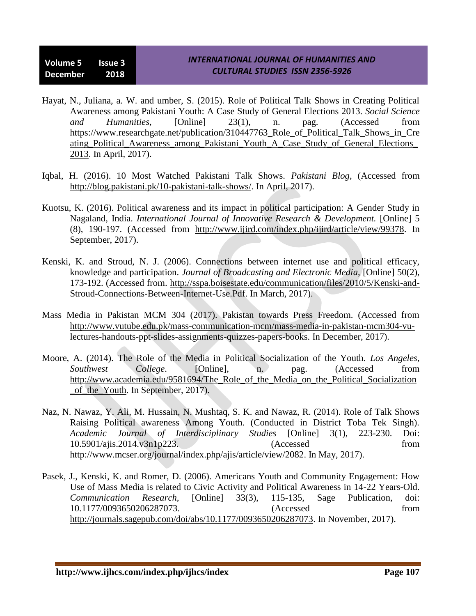- Hayat, N., Juliana, a. W. and umber, S. (2015). Role of Political Talk Shows in Creating Political Awareness among Pakistani Youth: A Case Study of General Elections 2013. *Social Science and Humanities,* [Online] 23(1), n. pag. (Accessed from [https://www.researchgate.net/publication/310447763\\_Role\\_of\\_Political\\_Talk\\_Shows\\_in\\_Cre](https://www.researchgate.net/publication/310447763_Role_of_Political_Talk_Shows_in_Creating_Political_Awareness_among_Pakistani_Youth_A_Case_Study_of_General_Elections_2013) ating Political Awareness among Pakistani Youth A Case Study of General Elections [2013.](https://www.researchgate.net/publication/310447763_Role_of_Political_Talk_Shows_in_Creating_Political_Awareness_among_Pakistani_Youth_A_Case_Study_of_General_Elections_2013) In April, 2017).
- Iqbal, H. (2016). 10 Most Watched Pakistani Talk Shows. *Pakistani Blog,* (Accessed from [http://blog.pakistani.pk/10-pakistani-talk-shows/.](http://blog.pakistani.pk/10-pakistani-talk-shows/) In April, 2017).
- Kuotsu, K. (2016). Political awareness and its impact in political participation: A Gender Study in Nagaland, India. *International Journal of Innovative Research & Development.* [Online] 5 (8), 190-197. (Accessed from [http://www.ijird.com/index.php/ijird/article/view/99378.](http://www.ijird.com/index.php/ijird/article/view/99378) In September, 2017).
- Kenski, K. and Stroud, N. J. (2006). Connections between internet use and political efficacy, knowledge and participation. *Journal of Broadcasting and Electronic Media,* [Online] 50(2), 173-192. (Accessed from. [http://sspa.boisestate.edu/communication/files/2010/5/Kenski-and-](http://sspa.boisestate.edu/communication/files/2010/5/Kenski-and-Stroud-Connections-Between-Internet-Use.Pdf)[Stroud-Connections-Between-Internet-Use.Pdf.](http://sspa.boisestate.edu/communication/files/2010/5/Kenski-and-Stroud-Connections-Between-Internet-Use.Pdf) In March, 2017).
- Mass Media in Pakistan MCM 304 (2017). Pakistan towards Press Freedom. (Accessed from [http://www.vutube.edu.pk/mass-communication-mcm/mass-media-in-pakistan-mcm304-vu](http://www.vutube.edu.pk/mass-communication-mcm/mass-media-in-pakistan-mcm304-vu-lectures-handouts-ppt-slides-assignments-quizzes-papers-books)[lectures-handouts-ppt-slides-assignments-quizzes-papers-books.](http://www.vutube.edu.pk/mass-communication-mcm/mass-media-in-pakistan-mcm304-vu-lectures-handouts-ppt-slides-assignments-quizzes-papers-books) In December, 2017).
- Moore, A. (2014). The Role of the Media in Political Socialization of the Youth. *Los Angeles*, *Southwest College*. [Online], n. pag. (Accessed from [http://www.academia.edu/9581694/The\\_Role\\_of\\_the\\_Media\\_on\\_the\\_Political\\_Socialization](http://www.academia.edu/9581694/The_Role_of_the_Media_on_the_Political_Socialization_of_the_Youth) [\\_of\\_the\\_Youth.](http://www.academia.edu/9581694/The_Role_of_the_Media_on_the_Political_Socialization_of_the_Youth) In September, 2017).
- Naz, N. Nawaz, Y. Ali, M. Hussain, N. Mushtaq, S. K. and Nawaz, R. (2014). Role of Talk Shows Raising Political awareness Among Youth. (Conducted in District Toba Tek Singh). *Academic Journal of Interdisciplinary Studies* [Online] 3(1), 223-230. Doi: 10.5901/ajis.2014.v3n1p223. (Accessed from [http://www.mcser.org/journal/index.php/ajis/article/view/2082.](http://www.mcser.org/journal/index.php/ajis/article/view/2082) In May, 2017).
- Pasek, J., Kenski, K. and Romer, D. (2006). Americans Youth and Community Engagement: How Use of Mass Media is related to Civic Activity and Political Awareness in 14-22 Years-Old. *Communication Research,* [Online] 33(3), 115-135, Sage Publication, doi: 10.1177/0093650206287073. (Accessed from [http://journals.sagepub.com/doi/abs/10.1177/0093650206287073.](http://journals.sagepub.com/doi/abs/10.1177/0093650206287073) In November, 2017).